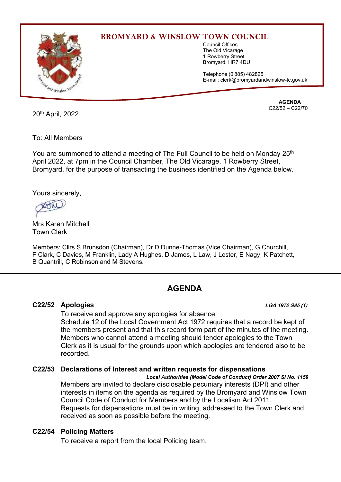

## **BROMYARD & WINSLOW TOWN COUNCIL**

Council Offices The Old Vicarage 1 Rowberry Street Bromyard, HR7 4DU

Telephone (0l885) 482825 E-mail: clerk@bromyardandwinslow-tc.gov.uk

20<sup>th</sup> April, 2022

**AGENDA** C22/52 – C22/70

To: All Members

You are summoned to attend a meeting of The Full Council to be held on Monday 25<sup>th</sup> April 2022, at 7pm in the Council Chamber, The Old Vicarage, 1 Rowberry Street, Bromyard, for the purpose of transacting the business identified on the Agenda below.

Yours sincerely,

Mrs Karen Mitchell Town Clerk

Members: Cllrs S Brunsdon (Chairman), Dr D Dunne-Thomas (Vice Chairman), G Churchill, F Clark, C Davies, M Franklin, Lady A Hughes, D James, L Law, J Lester, E Nagy, K Patchett, B Quantrill, C Robinson and M Stevens.

# **AGENDA**

## **C22/52 Apologies LGA 1972 S85 (1)**

To receive and approve any apologies for absence.

Schedule 12 of the Local Government Act 1972 requires that a record be kept of the members present and that this record form part of the minutes of the meeting. Members who cannot attend a meeting should tender apologies to the Town Clerk as it is usual for the grounds upon which apologies are tendered also to be recorded.

## **C22/53 Declarations of Interest and written requests for dispensations**

*Local Authorities (Model Code of Conduct) Order 2007 SI No. 1159* Members are invited to declare disclosable pecuniary interests (DPI) and other interests in items on the agenda as required by the Bromyard and Winslow Town Council Code of Conduct for Members and by the Localism Act 2011. Requests for dispensations must be in writing, addressed to the Town Clerk and received as soon as possible before the meeting.

#### **C22/54 Policing Matters**

To receive a report from the local Policing team.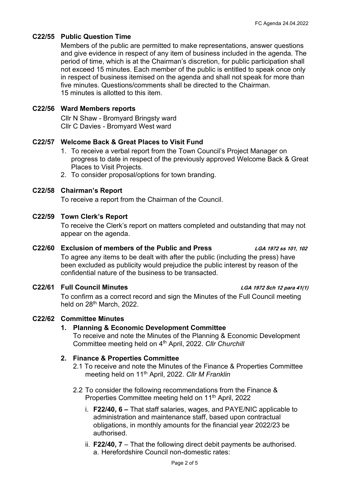#### **C22/55 Public Question Time**

Members of the public are permitted to make representations, answer questions and give evidence in respect of any item of business included in the agenda. The period of time, which is at the Chairman's discretion, for public participation shall not exceed 15 minutes. Each member of the public is entitled to speak once only in respect of business itemised on the agenda and shall not speak for more than five minutes. Questions/comments shall be directed to the Chairman. 15 minutes is allotted to this item.

#### **C22/56 Ward Members reports**

Cllr N Shaw - Bromyard Bringsty ward Cllr C Davies - Bromyard West ward

#### **C22/57 Welcome Back & Great Places to Visit Fund**

- 1. To receive a verbal report from the Town Council's Project Manager on progress to date in respect of the previously approved Welcome Back & Great Places to Visit Projects.
- 2. To consider proposal/options for town branding.

#### **C22/58 Chairman's Report**

To receive a report from the Chairman of the Council.

#### **C22/59 Town Clerk's Report**

To receive the Clerk's report on matters completed and outstanding that may not appear on the agenda.

#### **C22/60 Exclusion of members of the Public and Press LGA 1972 ss 101, 102**

To agree any items to be dealt with after the public (including the press) have been excluded as publicity would prejudice the public interest by reason of the confidential nature of the business to be transacted.

#### **C22/61 Full Council Minutes LGA 1972 Sch 12 para 41(1)**

To confirm as a correct record and sign the Minutes of the Full Council meeting held on 28<sup>th</sup> March, 2022.

#### **C22/62 Committee Minutes**

## **1. Planning & Economic Development Committee**

To receive and note the Minutes of the Planning & Economic Development Committee meeting held on 4<sup>th</sup> April, 2022. Cllr Churchill

#### **2. Finance & Properties Committee**

- 2.1 To receive and note the Minutes of the Finance & Properties Committee meeting held on 11<sup>th</sup> April, 2022. Cllr M Franklin
- 2.2 To consider the following recommendations from the Finance & Properties Committee meeting held on 11<sup>th</sup> April, 2022
	- i. **F22/40, 6 –** That staff salaries, wages, and PAYE/NIC applicable to administration and maintenance staff, based upon contractual obligations, in monthly amounts for the financial year 2022/23 be authorised.
	- ii. **F22/40, 7** That the following direct debit payments be authorised. a. Herefordshire Council non-domestic rates: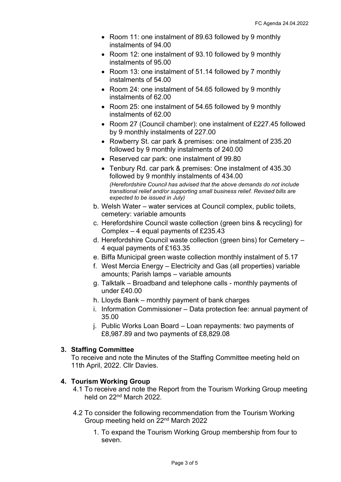- Room 11: one instalment of 89.63 followed by 9 monthly instalments of 94.00
- Room 12: one instalment of 93.10 followed by 9 monthly instalments of 95.00
- Room 13: one instalment of 51.14 followed by 7 monthly instalments of 54.00
- Room 24: one instalment of 54.65 followed by 9 monthly instalments of 62.00
- Room 25: one instalment of 54.65 followed by 9 monthly instalments of 62.00
- Room 27 (Council chamber): one instalment of £227.45 followed by 9 monthly instalments of 227.00
- Rowberry St. car park & premises: one instalment of 235.20 followed by 9 monthly instalments of 240.00
- Reserved car park: one instalment of 99.80
- Tenbury Rd. car park & premises: One instalment of 435.30 followed by 9 monthly instalments of 434.00 *(Herefordshire Council has advised that the above demands do not include transitional relief and/or supporting small business relief. Revised bills are expected to be issued in July)*
- b. Welsh Water water services at Council complex, public toilets, cemetery: variable amounts
- c. Herefordshire Council waste collection (green bins & recycling) for Complex – 4 equal payments of £235.43
- d. Herefordshire Council waste collection (green bins) for Cemetery 4 equal payments of £163.35
- e. Biffa Municipal green waste collection monthly instalment of 5.17
- f. West Mercia Energy Electricity and Gas (all properties) variable amounts; Parish lamps – variable amounts
- g. Talktalk Broadband and telephone calls monthly payments of under £40.00
- h. Lloyds Bank monthly payment of bank charges
- i. Information Commissioner Data protection fee: annual payment of 35.00
- j. Public Works Loan Board Loan repayments: two payments of £8,987.89 and two payments of £8,829.08

## **3. Staffing Committee**

To receive and note the Minutes of the Staffing Committee meeting held on 11th April, 2022. Cllr Davies.

## **4. Tourism Working Group**

- 4.1 To receive and note the Report from the Tourism Working Group meeting held on 22nd March 2022.
- 4.2 To consider the following recommendation from the Tourism Working Group meeting held on 22nd March 2022
	- 1. To expand the Tourism Working Group membership from four to seven.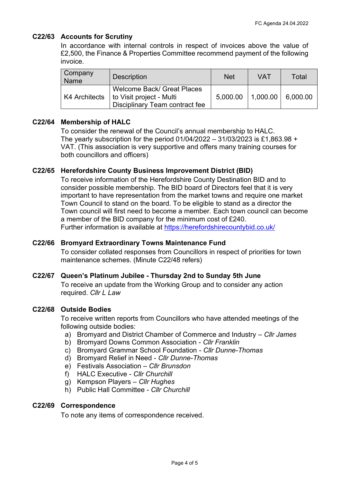## **C22/63 Accounts for Scrutiny**

In accordance with internal controls in respect of invoices above the value of £2,500, the Finance & Properties Committee recommend payment of the following invoice.

| Company<br><b>Name</b> | <b>Description</b>                                                                       | <b>Net</b> | VAT      | Total    |
|------------------------|------------------------------------------------------------------------------------------|------------|----------|----------|
| K4 Architects          | Welcome Back/ Great Places<br>to Visit project - Multi<br>Disciplinary Team contract fee | 5,000.00   | 1,000.00 | 6,000.00 |

## **C22/64 Membership of HALC**

To consider the renewal of the Council's annual membership to HALC. The yearly subscription for the period 01/04/2022 – 31/03/2023 is £1,863.98 + VAT. (This association is very supportive and offers many training courses for both councillors and officers)

## **C22/65 Herefordshire County Business Improvement District (BID)**

To receive information of the Herefordshire County Destination BID and to consider possible membership. The BID board of Directors feel that it is very important to have representation from the market towns and require one market Town Council to stand on the board. To be eligible to stand as a director the Town council will first need to become a member. Each town council can become a member of the BID company for the minimum cost of £240. Further information is available at<https://herefordshirecountybid.co.uk/>

## **C22/66 Bromyard Extraordinary Towns Maintenance Fund**

To consider collated responses from Councillors in respect of priorities for town maintenance schemes. (Minute C22/48 refers)

## **C22/67 Queen's Platinum Jubilee - Thursday 2nd to Sunday 5th June**

To receive an update from the Working Group and to consider any action required. *Cllr L Law*

## **C22/68 Outside Bodies**

To receive written reports from Councillors who have attended meetings of the following outside bodies:

- a) Bromyard and District Chamber of Commerce and Industry *Cllr James*
- b) Bromyard Downs Common Association *Cllr Franklin*
- c) Bromyard Grammar School Foundation *Cllr Dunne-Thomas*
- d) Bromyard Relief in Need *Cllr Dunne-Thomas*
- e) Festivals Association *Cllr Brunsdon*
- f) HALC Executive *Cllr Churchill*
- g) Kempson Players *Cllr Hughes*
- h) Public Hall Committee *Cllr Churchill*

#### **C22/69 Correspondence**

To note any items of correspondence received.